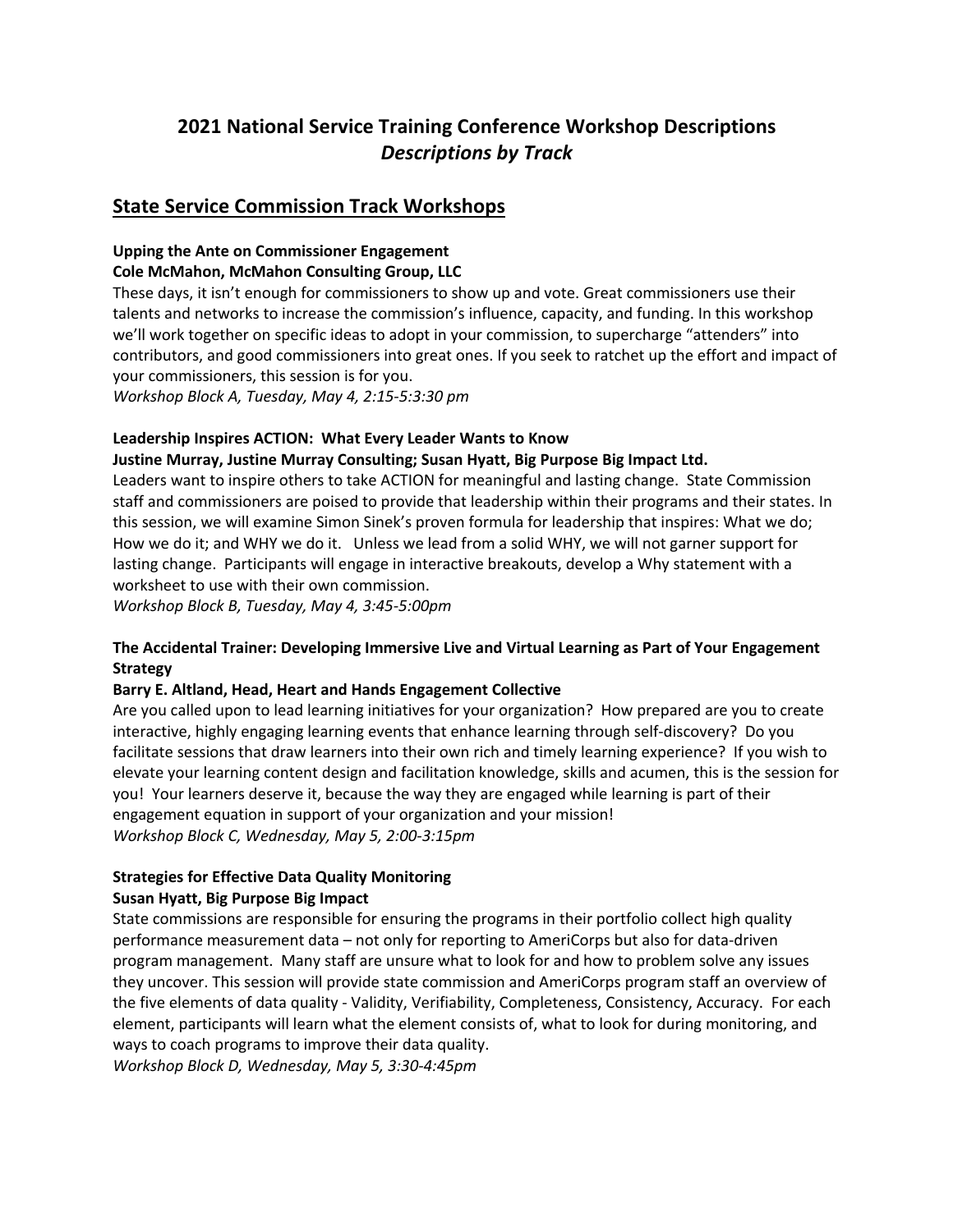# **2021 National Service Training Conference Workshop Descriptions** *Descriptions by Track*

## **State Service Commission Track Workshops**

## **Upping the Ante on Commissioner Engagement**

## **Cole McMahon, McMahon Consulting Group, LLC**

These days, it isn't enough for commissioners to show up and vote. Great commissioners use their talents and networks to increase the commission's influence, capacity, and funding. In this workshop we'll work together on specific ideas to adopt in your commission, to supercharge "attenders" into contributors, and good commissioners into great ones. If you seek to ratchet up the effort and impact of your commissioners, this session is for you.

*Workshop Block A, Tuesday, May 4, 2:15-5:3:30 pm*

## **Leadership Inspires ACTION: What Every Leader Wants to Know**

## **Justine Murray, Justine Murray Consulting; Susan Hyatt, Big Purpose Big Impact Ltd.**

Leaders want to inspire others to take ACTION for meaningful and lasting change. State Commission staff and commissioners are poised to provide that leadership within their programs and their states. In this session, we will examine Simon Sinek's proven formula for leadership that inspires: What we do; How we do it; and WHY we do it. Unless we lead from a solid WHY, we will not garner support for lasting change. Participants will engage in interactive breakouts, develop a Why statement with a worksheet to use with their own commission.

*Workshop Block B, Tuesday, May 4, 3:45-5:00pm* 

## **The Accidental Trainer: Developing Immersive Live and Virtual Learning as Part of Your Engagement Strategy**

## **Barry E. Altland, Head, Heart and Hands Engagement Collective**

Are you called upon to lead learning initiatives for your organization? How prepared are you to create interactive, highly engaging learning events that enhance learning through self-discovery? Do you facilitate sessions that draw learners into their own rich and timely learning experience? If you wish to elevate your learning content design and facilitation knowledge, skills and acumen, this is the session for you! Your learners deserve it, because the way they are engaged while learning is part of their engagement equation in support of your organization and your mission! *Workshop Block C, Wednesday, May 5, 2:00-3:15pm*

## **Strategies for Effective Data Quality Monitoring Susan Hyatt, Big Purpose Big Impact**

State commissions are responsible for ensuring the programs in their portfolio collect high quality performance measurement data – not only for reporting to AmeriCorps but also for data-driven program management. Many staff are unsure what to look for and how to problem solve any issues they uncover. This session will provide state commission and AmeriCorps program staff an overview of the five elements of data quality - Validity, Verifiability, Completeness, Consistency, Accuracy. For each element, participants will learn what the element consists of, what to look for during monitoring, and ways to coach programs to improve their data quality.

*Workshop Block D, Wednesday, May 5, 3:30-4:45pm*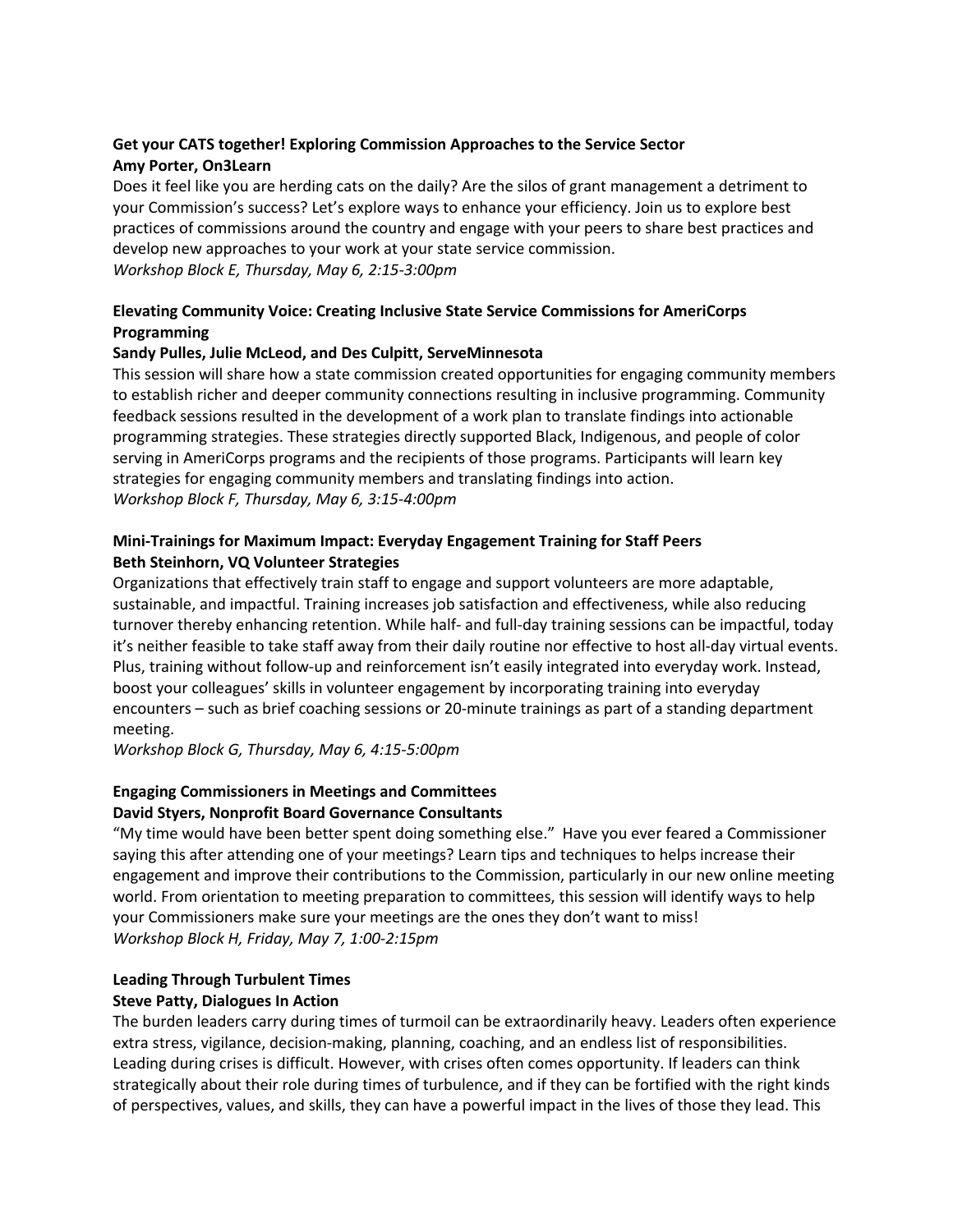## **Get your CATS together! Exploring Commission Approaches to the Service Sector Amy Porter, On3Learn**

Does it feel like you are herding cats on the daily? Are the silos of grant management a detriment to your Commission's success? Let's explore ways to enhance your efficiency. Join us to explore best practices of commissions around the country and engage with your peers to share best practices and develop new approaches to your work at your state service commission. *Workshop Block E, Thursday, May 6, 2:15-3:00pm*

## **Elevating Community Voice: Creating Inclusive State Service Commissions for AmeriCorps Programming**

## **Sandy Pulles, Julie McLeod, and Des Culpitt, ServeMinnesota**

This session will share how a state commission created opportunities for engaging community members to establish richer and deeper community connections resulting in inclusive programming. Community feedback sessions resulted in the development of a work plan to translate findings into actionable programming strategies. These strategies directly supported Black, Indigenous, and people of color serving in AmeriCorps programs and the recipients of those programs. Participants will learn key strategies for engaging community members and translating findings into action. *Workshop Block F, Thursday, May 6, 3:15-4:00pm*

## **Mini-Trainings for Maximum Impact: Everyday Engagement Training for Staff Peers Beth Steinhorn, VQ Volunteer Strategies**

Organizations that effectively train staff to engage and support volunteers are more adaptable, sustainable, and impactful. Training increases job satisfaction and effectiveness, while also reducing turnover thereby enhancing retention. While half- and full-day training sessions can be impactful, today it's neither feasible to take staff away from their daily routine nor effective to host all-day virtual events. Plus, training without follow-up and reinforcement isn't easily integrated into everyday work. Instead, boost your colleagues' skills in volunteer engagement by incorporating training into everyday encounters – such as brief coaching sessions or 20-minute trainings as part of a standing department meeting.

*Workshop Block G, Thursday, May 6, 4:15-5:00pm*

## **Engaging Commissioners in Meetings and Committees David Styers, Nonprofit Board Governance Consultants**

"My time would have been better spent doing something else." Have you ever feared a Commissioner saying this after attending one of your meetings? Learn tips and techniques to helps increase their engagement and improve their contributions to the Commission, particularly in our new online meeting world. From orientation to meeting preparation to committees, this session will identify ways to help your Commissioners make sure your meetings are the ones they don't want to miss! *Workshop Block H, Friday, May 7, 1:00-2:15pm*

## **Leading Through Turbulent Times Steve Patty, Dialogues In Action**

The burden leaders carry during times of turmoil can be extraordinarily heavy. Leaders often experience extra stress, vigilance, decision-making, planning, coaching, and an endless list of responsibilities. Leading during crises is difficult. However, with crises often comes opportunity. If leaders can think strategically about their role during times of turbulence, and if they can be fortified with the right kinds of perspectives, values, and skills, they can have a powerful impact in the lives of those they lead. This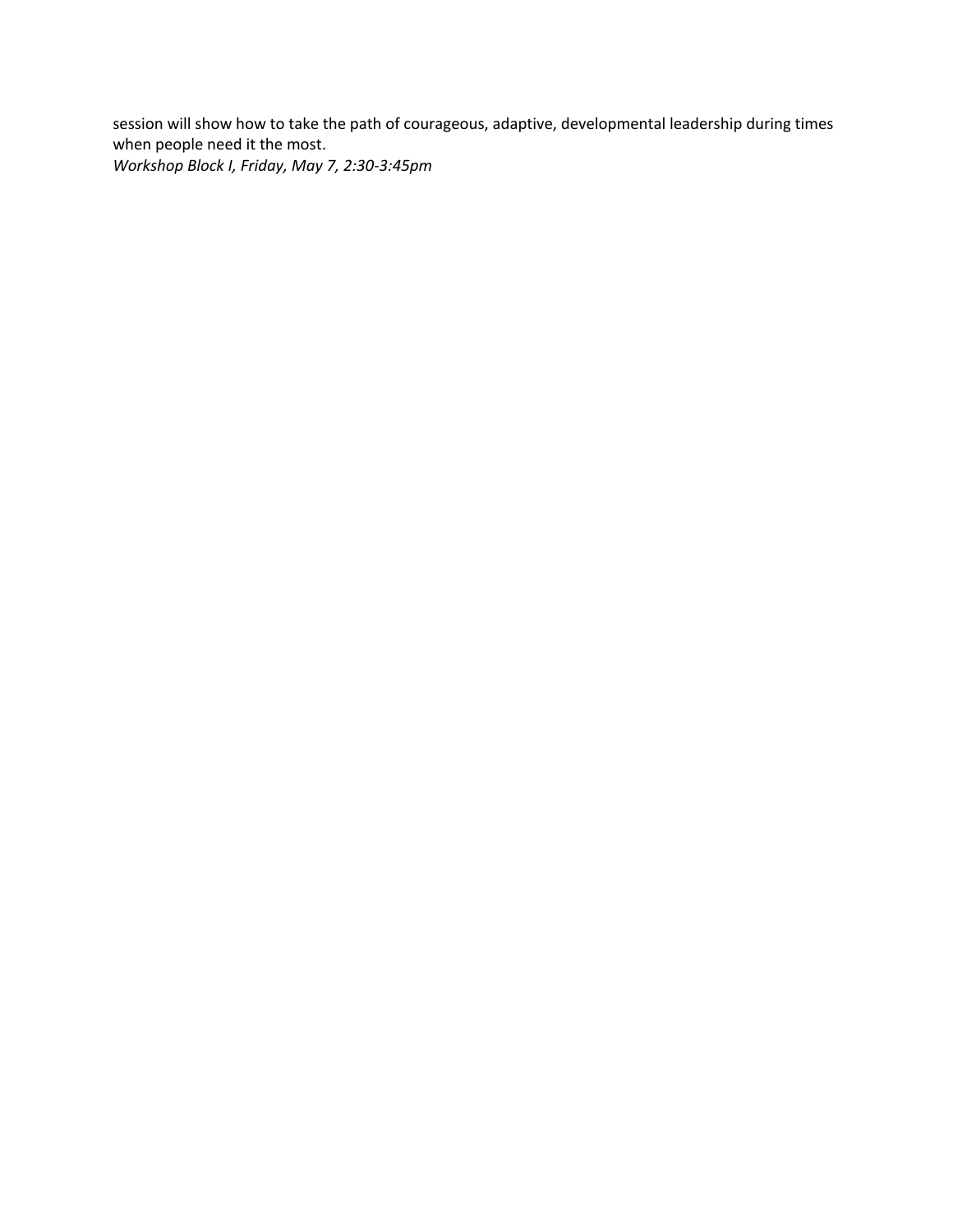session will show how to take the path of courageous, adaptive, developmental leadership during times when people need it the most. *Workshop Block I, Friday, May 7, 2:30-3:45pm*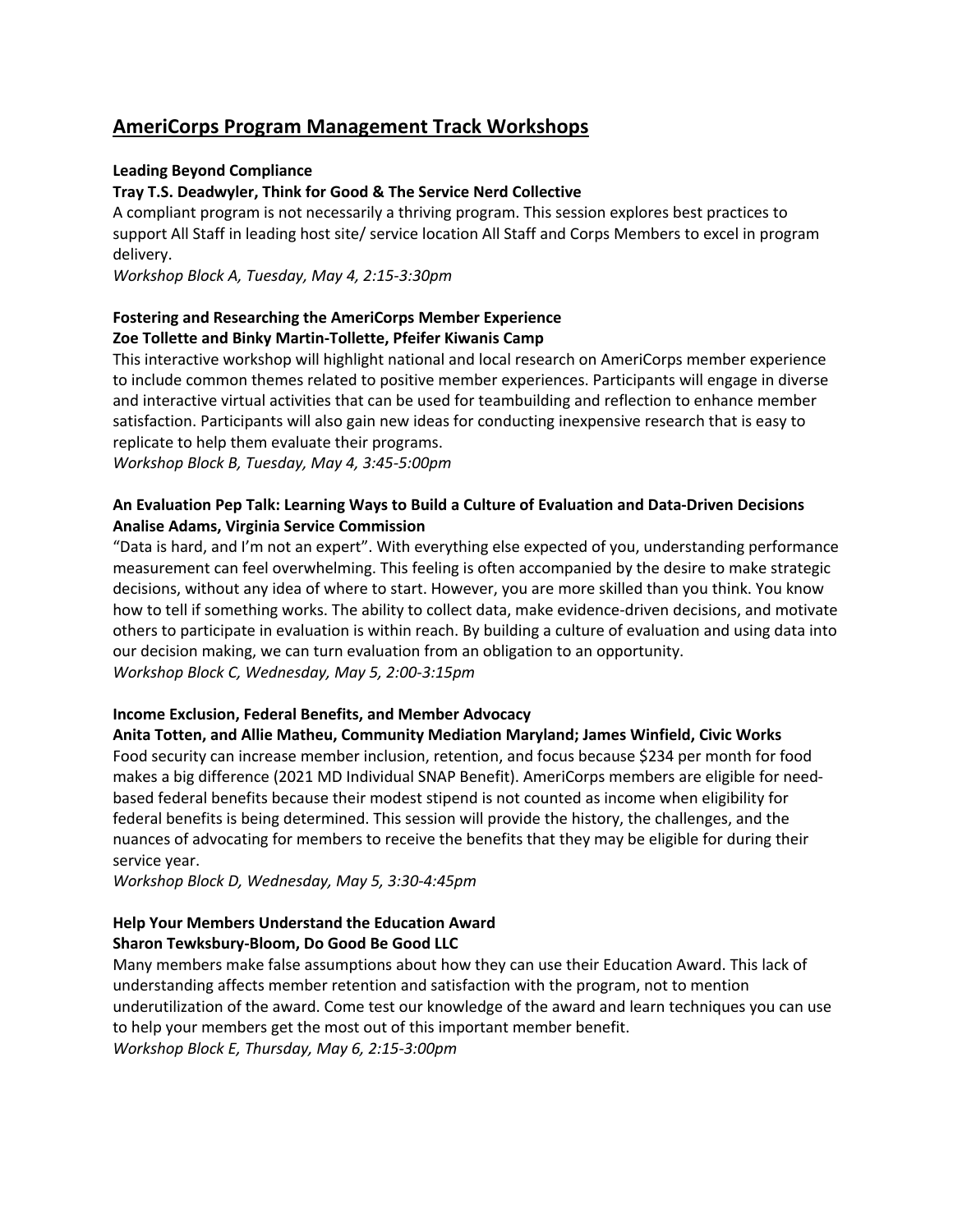# **AmeriCorps Program Management Track Workshops**

## **Leading Beyond Compliance**

## **Tray T.S. Deadwyler, Think for Good & The Service Nerd Collective**

A compliant program is not necessarily a thriving program. This session explores best practices to support All Staff in leading host site/ service location All Staff and Corps Members to excel in program delivery.

*Workshop Block A, Tuesday, May 4, 2:15-3:30pm*

## **Fostering and Researching the AmeriCorps Member Experience Zoe Tollette and Binky Martin-Tollette, Pfeifer Kiwanis Camp**

This interactive workshop will highlight national and local research on AmeriCorps member experience to include common themes related to positive member experiences. Participants will engage in diverse and interactive virtual activities that can be used for teambuilding and reflection to enhance member satisfaction. Participants will also gain new ideas for conducting inexpensive research that is easy to replicate to help them evaluate their programs.

*Workshop Block B, Tuesday, May 4, 3:45-5:00pm*

## **An Evaluation Pep Talk: Learning Ways to Build a Culture of Evaluation and Data-Driven Decisions Analise Adams, Virginia Service Commission**

"Data is hard, and I'm not an expert". With everything else expected of you, understanding performance measurement can feel overwhelming. This feeling is often accompanied by the desire to make strategic decisions, without any idea of where to start. However, you are more skilled than you think. You know how to tell if something works. The ability to collect data, make evidence-driven decisions, and motivate others to participate in evaluation is within reach. By building a culture of evaluation and using data into our decision making, we can turn evaluation from an obligation to an opportunity. *Workshop Block C, Wednesday, May 5, 2:00-3:15pm*

## **Income Exclusion, Federal Benefits, and Member Advocacy**

#### **Anita Totten, and Allie Matheu, Community Mediation Maryland; James Winfield, Civic Works**

Food security can increase member inclusion, retention, and focus because \$234 per month for food makes a big difference (2021 MD Individual SNAP Benefit). AmeriCorps members are eligible for needbased federal benefits because their modest stipend is not counted as income when eligibility for federal benefits is being determined. This session will provide the history, the challenges, and the nuances of advocating for members to receive the benefits that they may be eligible for during their service year.

*Workshop Block D, Wednesday, May 5, 3:30-4:45pm*

## **Help Your Members Understand the Education Award Sharon Tewksbury-Bloom, Do Good Be Good LLC**

Many members make false assumptions about how they can use their Education Award. This lack of understanding affects member retention and satisfaction with the program, not to mention underutilization of the award. Come test our knowledge of the award and learn techniques you can use to help your members get the most out of this important member benefit. *Workshop Block E, Thursday, May 6, 2:15-3:00pm*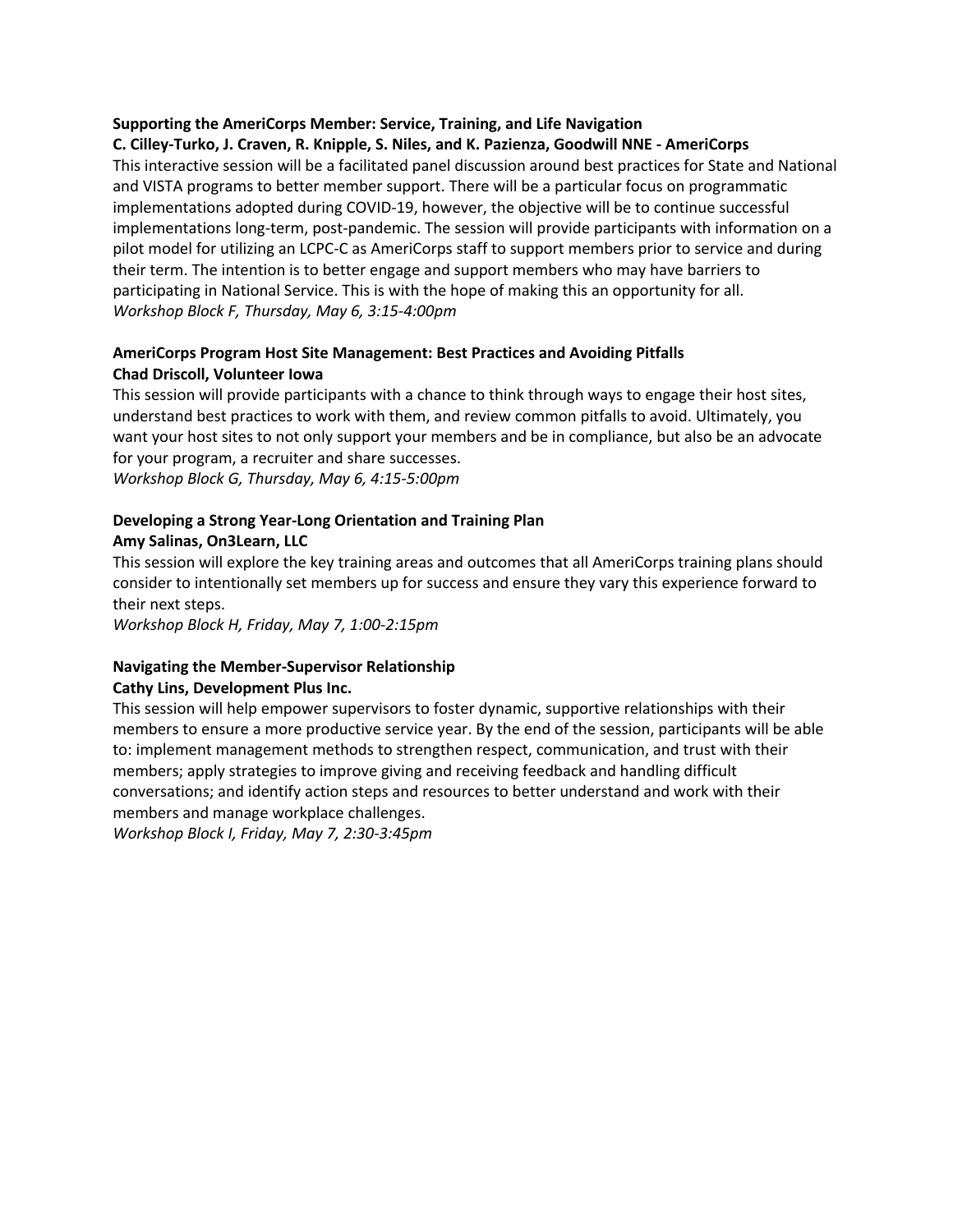## **Supporting the AmeriCorps Member: Service, Training, and Life Navigation**

## **C. Cilley-Turko, J. Craven, R. Knipple, S. Niles, and K. Pazienza, Goodwill NNE - AmeriCorps**

This interactive session will be a facilitated panel discussion around best practices for State and National and VISTA programs to better member support. There will be a particular focus on programmatic implementations adopted during COVID-19, however, the objective will be to continue successful implementations long-term, post-pandemic. The session will provide participants with information on a pilot model for utilizing an LCPC-C as AmeriCorps staff to support members prior to service and during their term. The intention is to better engage and support members who may have barriers to participating in National Service. This is with the hope of making this an opportunity for all. *Workshop Block F, Thursday, May 6, 3:15-4:00pm*

## **AmeriCorps Program Host Site Management: Best Practices and Avoiding Pitfalls Chad Driscoll, Volunteer Iowa**

This session will provide participants with a chance to think through ways to engage their host sites, understand best practices to work with them, and review common pitfalls to avoid. Ultimately, you want your host sites to not only support your members and be in compliance, but also be an advocate for your program, a recruiter and share successes. *Workshop Block G, Thursday, May 6, 4:15-5:00pm*

## **Developing a Strong Year-Long Orientation and Training Plan Amy Salinas, On3Learn, LLC**

This session will explore the key training areas and outcomes that all AmeriCorps training plans should consider to intentionally set members up for success and ensure they vary this experience forward to their next steps.

*Workshop Block H, Friday, May 7, 1:00-2:15pm*

## **Navigating the Member-Supervisor Relationship**

## **Cathy Lins, Development Plus Inc.**

This session will help empower supervisors to foster dynamic, supportive relationships with their members to ensure a more productive service year. By the end of the session, participants will be able to: implement management methods to strengthen respect, communication, and trust with their members; apply strategies to improve giving and receiving feedback and handling difficult conversations; and identify action steps and resources to better understand and work with their members and manage workplace challenges.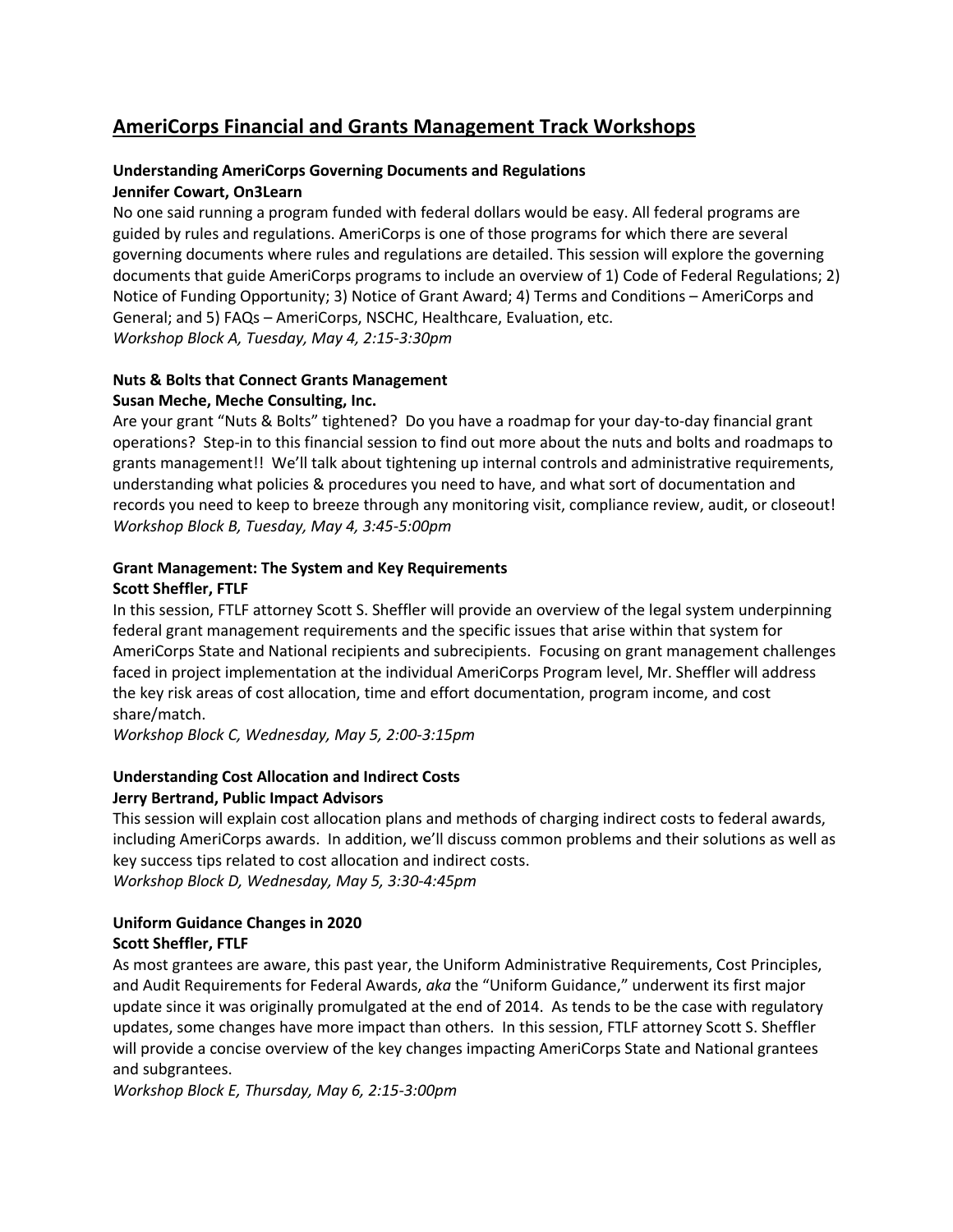# **AmeriCorps Financial and Grants Management Track Workshops**

## **Understanding AmeriCorps Governing Documents and Regulations Jennifer Cowart, On3Learn**

No one said running a program funded with federal dollars would be easy. All federal programs are guided by rules and regulations. AmeriCorps is one of those programs for which there are several governing documents where rules and regulations are detailed. This session will explore the governing documents that guide AmeriCorps programs to include an overview of 1) Code of Federal Regulations; 2) Notice of Funding Opportunity; 3) Notice of Grant Award; 4) Terms and Conditions – AmeriCorps and General; and 5) FAQs – AmeriCorps, NSCHC, Healthcare, Evaluation, etc. *Workshop Block A, Tuesday, May 4, 2:15-3:30pm*

## **Nuts & Bolts that Connect Grants Management Susan Meche, Meche Consulting, Inc.**

Are your grant "Nuts & Bolts" tightened? Do you have a roadmap for your day-to-day financial grant operations? Step-in to this financial session to find out more about the nuts and bolts and roadmaps to grants management!! We'll talk about tightening up internal controls and administrative requirements, understanding what policies & procedures you need to have, and what sort of documentation and records you need to keep to breeze through any monitoring visit, compliance review, audit, or closeout! *Workshop Block B, Tuesday, May 4, 3:45-5:00pm*

#### **Grant Management: The System and Key Requirements Scott Sheffler, FTLF**

In this session, FTLF attorney Scott S. Sheffler will provide an overview of the legal system underpinning federal grant management requirements and the specific issues that arise within that system for AmeriCorps State and National recipients and subrecipients. Focusing on grant management challenges faced in project implementation at the individual AmeriCorps Program level, Mr. Sheffler will address the key risk areas of cost allocation, time and effort documentation, program income, and cost share/match.

*Workshop Block C, Wednesday, May 5, 2:00-3:15pm*

## **Understanding Cost Allocation and Indirect Costs Jerry Bertrand, Public Impact Advisors**

This session will explain cost allocation plans and methods of charging indirect costs to federal awards, including AmeriCorps awards. In addition, we'll discuss common problems and their solutions as well as key success tips related to cost allocation and indirect costs. *Workshop Block D, Wednesday, May 5, 3:30-4:45pm*

# **Uniform Guidance Changes in 2020**

## **Scott Sheffler, FTLF**

As most grantees are aware, this past year, the Uniform Administrative Requirements, Cost Principles, and Audit Requirements for Federal Awards, *aka* the "Uniform Guidance," underwent its first major update since it was originally promulgated at the end of 2014. As tends to be the case with regulatory updates, some changes have more impact than others. In this session, FTLF attorney Scott S. Sheffler will provide a concise overview of the key changes impacting AmeriCorps State and National grantees and subgrantees.

*Workshop Block E, Thursday, May 6, 2:15-3:00pm*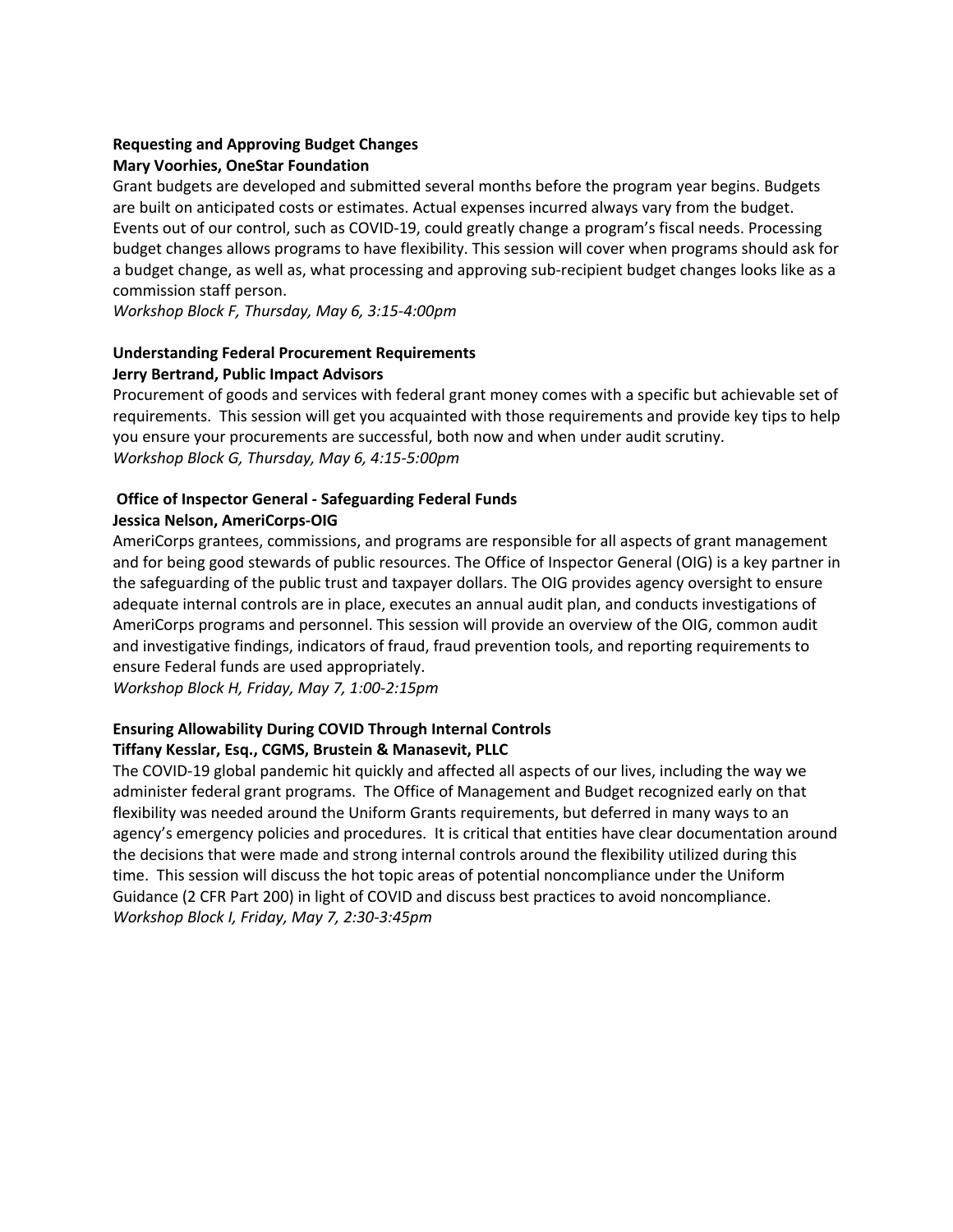## **Requesting and Approving Budget Changes**

## **Mary Voorhies, OneStar Foundation**

Grant budgets are developed and submitted several months before the program year begins. Budgets are built on anticipated costs or estimates. Actual expenses incurred always vary from the budget. Events out of our control, such as COVID-19, could greatly change a program's fiscal needs. Processing budget changes allows programs to have flexibility. This session will cover when programs should ask for a budget change, as well as, what processing and approving sub-recipient budget changes looks like as a commission staff person.

*Workshop Block F, Thursday, May 6, 3:15-4:00pm*

## **Understanding Federal Procurement Requirements Jerry Bertrand, Public Impact Advisors**

Procurement of goods and services with federal grant money comes with a specific but achievable set of requirements. This session will get you acquainted with those requirements and provide key tips to help you ensure your procurements are successful, both now and when under audit scrutiny. *Workshop Block G, Thursday, May 6, 4:15-5:00pm*

## **Office of Inspector General - Safeguarding Federal Funds Jessica Nelson, AmeriCorps-OIG**

AmeriCorps grantees, commissions, and programs are responsible for all aspects of grant management and for being good stewards of public resources. The Office of Inspector General (OIG) is a key partner in the safeguarding of the public trust and taxpayer dollars. The OIG provides agency oversight to ensure adequate internal controls are in place, executes an annual audit plan, and conducts investigations of AmeriCorps programs and personnel. This session will provide an overview of the OIG, common audit and investigative findings, indicators of fraud, fraud prevention tools, and reporting requirements to ensure Federal funds are used appropriately.

*Workshop Block H, Friday, May 7, 1:00-2:15pm*

## **Ensuring Allowability During COVID Through Internal Controls Tiffany Kesslar, Esq., CGMS, Brustein & Manasevit, PLLC**

The COVID-19 global pandemic hit quickly and affected all aspects of our lives, including the way we administer federal grant programs. The Office of Management and Budget recognized early on that flexibility was needed around the Uniform Grants requirements, but deferred in many ways to an agency's emergency policies and procedures. It is critical that entities have clear documentation around the decisions that were made and strong internal controls around the flexibility utilized during this time. This session will discuss the hot topic areas of potential noncompliance under the Uniform Guidance (2 CFR Part 200) in light of COVID and discuss best practices to avoid noncompliance. *Workshop Block I, Friday, May 7, 2:30-3:45pm*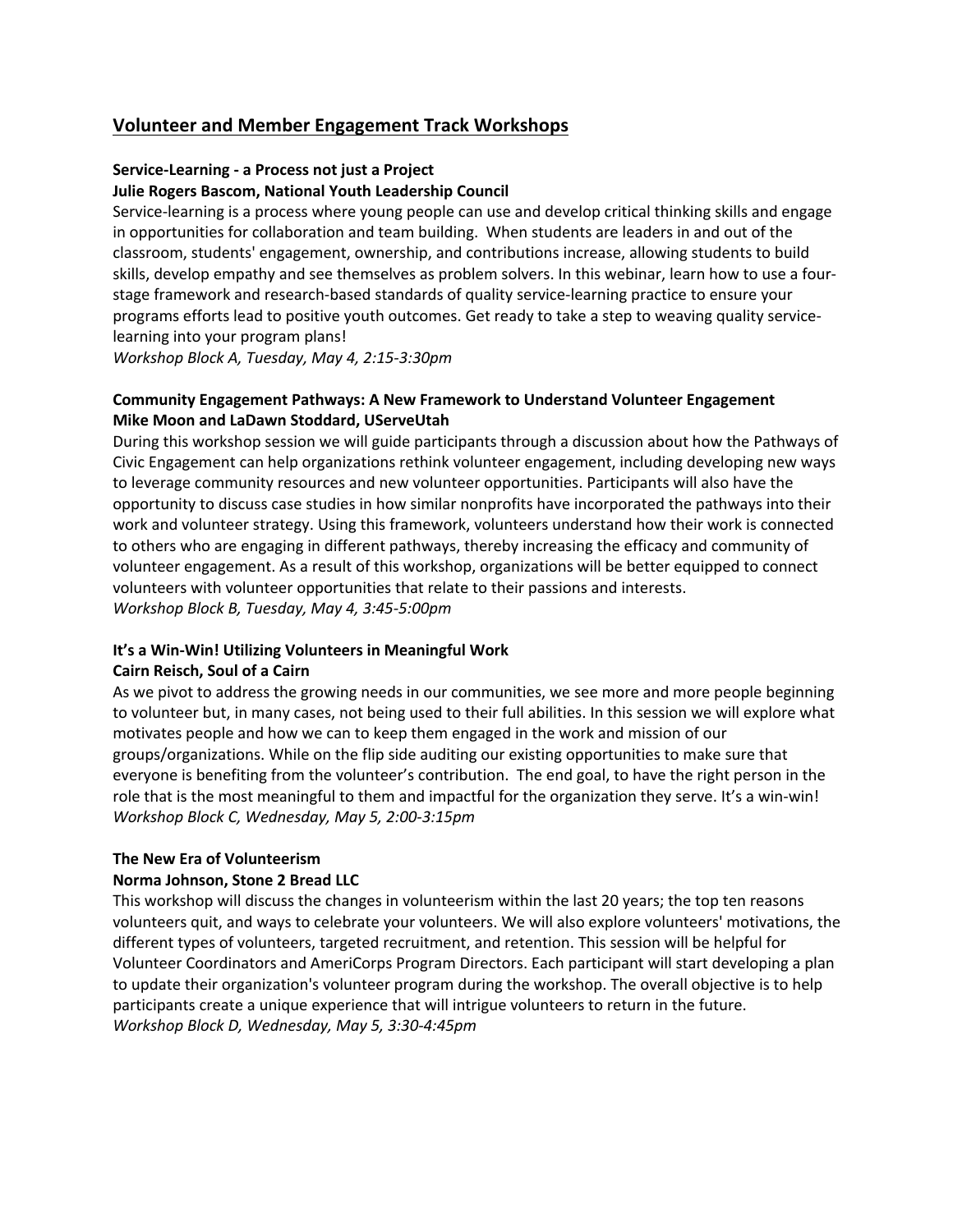## **Volunteer and Member Engagement Track Workshops**

## **Service-Learning - a Process not just a Project**

## **Julie Rogers Bascom, National Youth Leadership Council**

Service-learning is a process where young people can use and develop critical thinking skills and engage in opportunities for collaboration and team building. When students are leaders in and out of the classroom, students' engagement, ownership, and contributions increase, allowing students to build skills, develop empathy and see themselves as problem solvers. In this webinar, learn how to use a fourstage framework and research-based standards of quality service-learning practice to ensure your programs efforts lead to positive youth outcomes. Get ready to take a step to weaving quality servicelearning into your program plans!

*Workshop Block A, Tuesday, May 4, 2:15-3:30pm*

## **Community Engagement Pathways: A New Framework to Understand Volunteer Engagement Mike Moon and LaDawn Stoddard, UServeUtah**

During this workshop session we will guide participants through a discussion about how the Pathways of Civic Engagement can help organizations rethink volunteer engagement, including developing new ways to leverage community resources and new volunteer opportunities. Participants will also have the opportunity to discuss case studies in how similar nonprofits have incorporated the pathways into their work and volunteer strategy. Using this framework, volunteers understand how their work is connected to others who are engaging in different pathways, thereby increasing the efficacy and community of volunteer engagement. As a result of this workshop, organizations will be better equipped to connect volunteers with volunteer opportunities that relate to their passions and interests. *Workshop Block B, Tuesday, May 4, 3:45-5:00pm*

#### **It's a Win-Win! Utilizing Volunteers in Meaningful Work Cairn Reisch, Soul of a Cairn**

## As we pivot to address the growing needs in our communities, we see more and more people beginning to volunteer but, in many cases, not being used to their full abilities. In this session we will explore what motivates people and how we can to keep them engaged in the work and mission of our groups/organizations. While on the flip side auditing our existing opportunities to make sure that everyone is benefiting from the volunteer's contribution. The end goal, to have the right person in the role that is the most meaningful to them and impactful for the organization they serve. It's a win-win! *Workshop Block C, Wednesday, May 5, 2:00-3:15pm*

## **The New Era of Volunteerism**

## **Norma Johnson, Stone 2 Bread LLC**

This workshop will discuss the changes in volunteerism within the last 20 years; the top ten reasons volunteers quit, and ways to celebrate your volunteers. We will also explore volunteers' motivations, the different types of volunteers, targeted recruitment, and retention. This session will be helpful for Volunteer Coordinators and AmeriCorps Program Directors. Each participant will start developing a plan to update their organization's volunteer program during the workshop. The overall objective is to help participants create a unique experience that will intrigue volunteers to return in the future. *Workshop Block D, Wednesday, May 5, 3:30-4:45pm*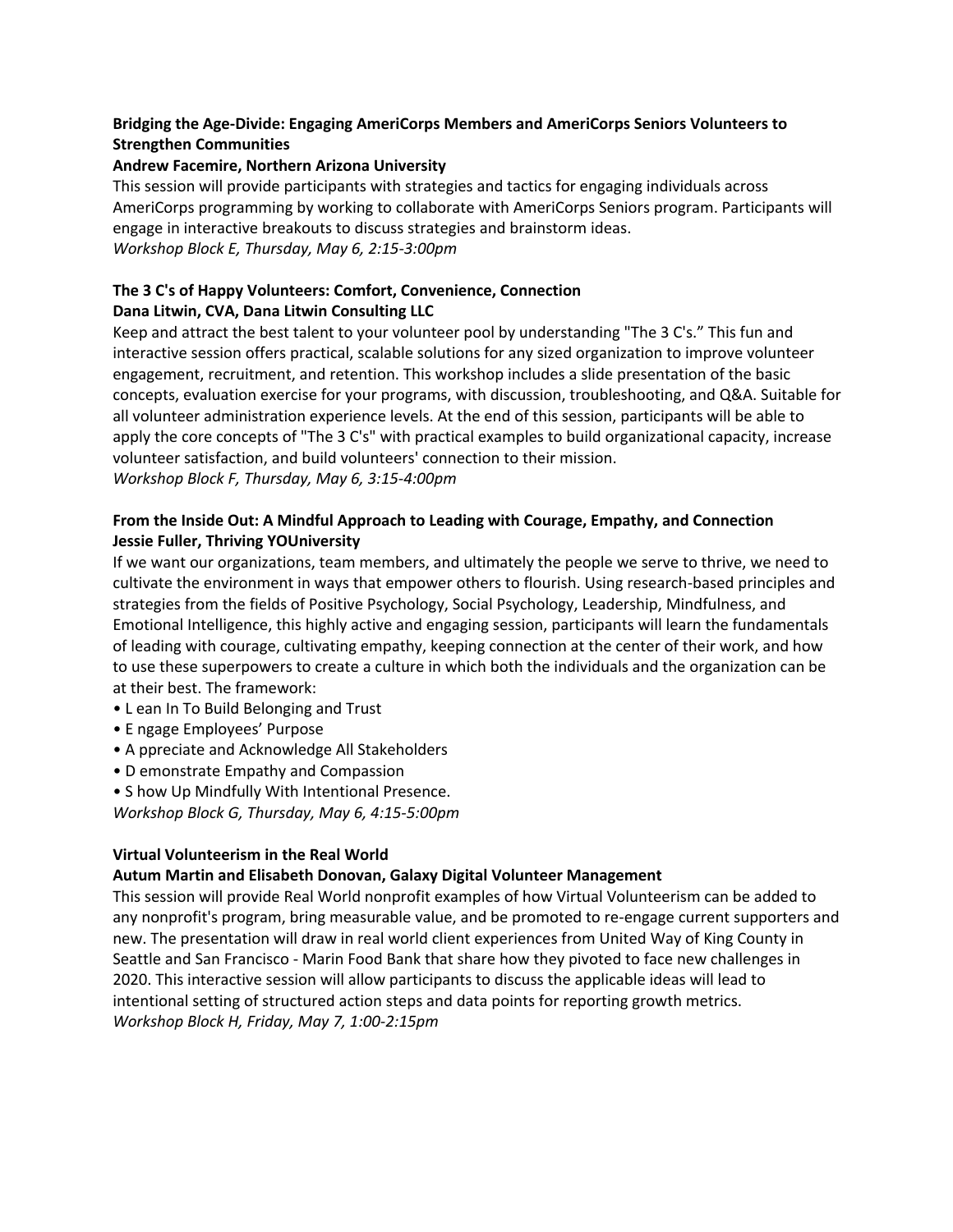## **Bridging the Age-Divide: Engaging AmeriCorps Members and AmeriCorps Seniors Volunteers to Strengthen Communities**

## **Andrew Facemire, Northern Arizona University**

This session will provide participants with strategies and tactics for engaging individuals across AmeriCorps programming by working to collaborate with AmeriCorps Seniors program. Participants will engage in interactive breakouts to discuss strategies and brainstorm ideas. *Workshop Block E, Thursday, May 6, 2:15-3:00pm*

## **The 3 C's of Happy Volunteers: Comfort, Convenience, Connection Dana Litwin, CVA, Dana Litwin Consulting LLC**

Keep and attract the best talent to your volunteer pool by understanding "The 3 C's." This fun and interactive session offers practical, scalable solutions for any sized organization to improve volunteer engagement, recruitment, and retention. This workshop includes a slide presentation of the basic concepts, evaluation exercise for your programs, with discussion, troubleshooting, and Q&A. Suitable for all volunteer administration experience levels. At the end of this session, participants will be able to apply the core concepts of "The 3 C's" with practical examples to build organizational capacity, increase volunteer satisfaction, and build volunteers' connection to their mission. *Workshop Block F, Thursday, May 6, 3:15-4:00pm*

## **From the Inside Out: A Mindful Approach to Leading with Courage, Empathy, and Connection Jessie Fuller, Thriving YOUniversity**

If we want our organizations, team members, and ultimately the people we serve to thrive, we need to cultivate the environment in ways that empower others to flourish. Using research-based principles and strategies from the fields of Positive Psychology, Social Psychology, Leadership, Mindfulness, and Emotional Intelligence, this highly active and engaging session, participants will learn the fundamentals of leading with courage, cultivating empathy, keeping connection at the center of their work, and how to use these superpowers to create a culture in which both the individuals and the organization can be at their best. The framework:

- L ean In To Build Belonging and Trust
- E ngage Employees' Purpose
- A ppreciate and Acknowledge All Stakeholders
- D emonstrate Empathy and Compassion

• S how Up Mindfully With Intentional Presence. *Workshop Block G, Thursday, May 6, 4:15-5:00pm*

## **Virtual Volunteerism in the Real World**

## **Autum Martin and Elisabeth Donovan, Galaxy Digital Volunteer Management**

This session will provide Real World nonprofit examples of how Virtual Volunteerism can be added to any nonprofit's program, bring measurable value, and be promoted to re-engage current supporters and new. The presentation will draw in real world client experiences from United Way of King County in Seattle and San Francisco - Marin Food Bank that share how they pivoted to face new challenges in 2020. This interactive session will allow participants to discuss the applicable ideas will lead to intentional setting of structured action steps and data points for reporting growth metrics. *Workshop Block H, Friday, May 7, 1:00-2:15pm*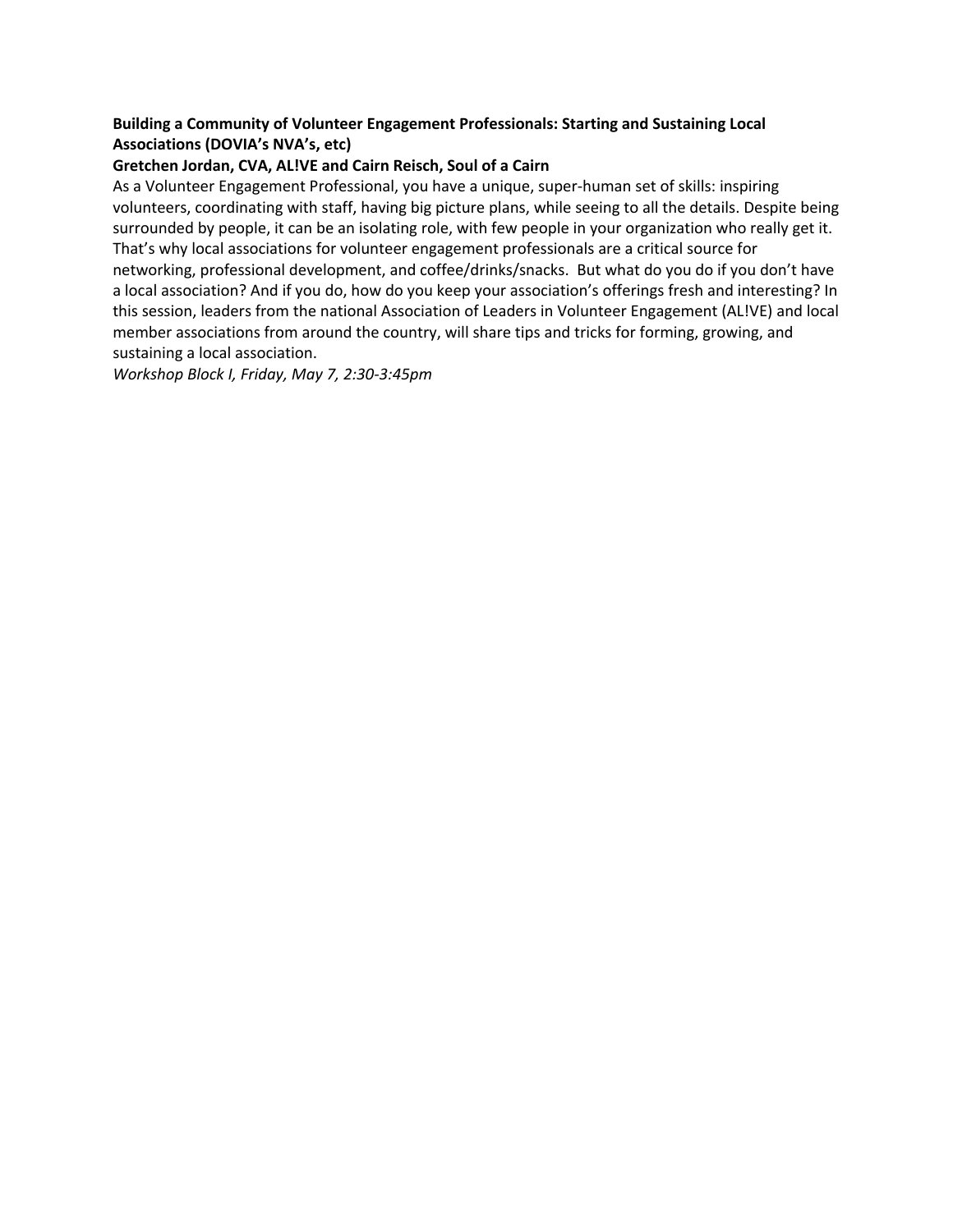## **Building a Community of Volunteer Engagement Professionals: Starting and Sustaining Local Associations (DOVIA's NVA's, etc)**

#### **Gretchen Jordan, CVA, AL!VE and Cairn Reisch, Soul of a Cairn**

As a Volunteer Engagement Professional, you have a unique, super-human set of skills: inspiring volunteers, coordinating with staff, having big picture plans, while seeing to all the details. Despite being surrounded by people, it can be an isolating role, with few people in your organization who really get it. That's why local associations for volunteer engagement professionals are a critical source for networking, professional development, and coffee/drinks/snacks. But what do you do if you don't have a local association? And if you do, how do you keep your association's offerings fresh and interesting? In this session, leaders from the national Association of Leaders in Volunteer Engagement (AL!VE) and local member associations from around the country, will share tips and tricks for forming, growing, and sustaining a local association.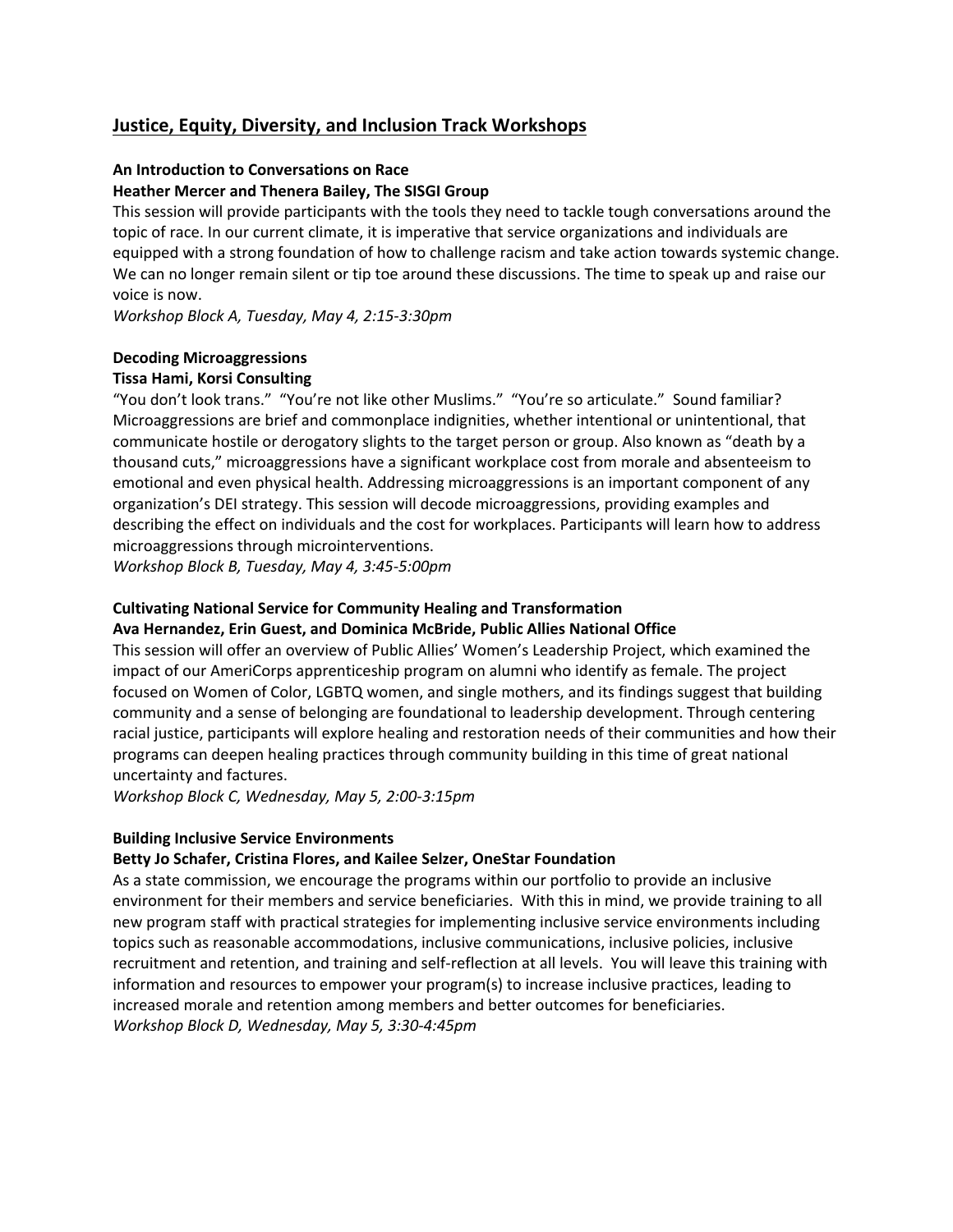## **Justice, Equity, Diversity, and Inclusion Track Workshops**

#### **An Introduction to Conversations on Race**

#### **Heather Mercer and Thenera Bailey, The SISGI Group**

This session will provide participants with the tools they need to tackle tough conversations around the topic of race. In our current climate, it is imperative that service organizations and individuals are equipped with a strong foundation of how to challenge racism and take action towards systemic change. We can no longer remain silent or tip toe around these discussions. The time to speak up and raise our voice is now.

*Workshop Block A, Tuesday, May 4, 2:15-3:30pm*

## **Decoding Microaggressions**

## **Tissa Hami, Korsi Consulting**

"You don't look trans." "You're not like other Muslims." "You're so articulate." Sound familiar? Microaggressions are brief and commonplace indignities, whether intentional or unintentional, that communicate hostile or derogatory slights to the target person or group. Also known as "death by a thousand cuts," microaggressions have a significant workplace cost from morale and absenteeism to emotional and even physical health. Addressing microaggressions is an important component of any organization's DEI strategy. This session will decode microaggressions, providing examples and describing the effect on individuals and the cost for workplaces. Participants will learn how to address microaggressions through microinterventions.

*Workshop Block B, Tuesday, May 4, 3:45-5:00pm*

## **Cultivating National Service for Community Healing and Transformation**

## **Ava Hernandez, Erin Guest, and Dominica McBride, Public Allies National Office**

This session will offer an overview of Public Allies' Women's Leadership Project, which examined the impact of our AmeriCorps apprenticeship program on alumni who identify as female. The project focused on Women of Color, LGBTQ women, and single mothers, and its findings suggest that building community and a sense of belonging are foundational to leadership development. Through centering racial justice, participants will explore healing and restoration needs of their communities and how their programs can deepen healing practices through community building in this time of great national uncertainty and factures.

*Workshop Block C, Wednesday, May 5, 2:00-3:15pm*

## **Building Inclusive Service Environments**

## **Betty Jo Schafer, Cristina Flores, and Kailee Selzer, OneStar Foundation**

As a state commission, we encourage the programs within our portfolio to provide an inclusive environment for their members and service beneficiaries. With this in mind, we provide training to all new program staff with practical strategies for implementing inclusive service environments including topics such as reasonable accommodations, inclusive communications, inclusive policies, inclusive recruitment and retention, and training and self-reflection at all levels. You will leave this training with information and resources to empower your program(s) to increase inclusive practices, leading to increased morale and retention among members and better outcomes for beneficiaries. *Workshop Block D, Wednesday, May 5, 3:30-4:45pm*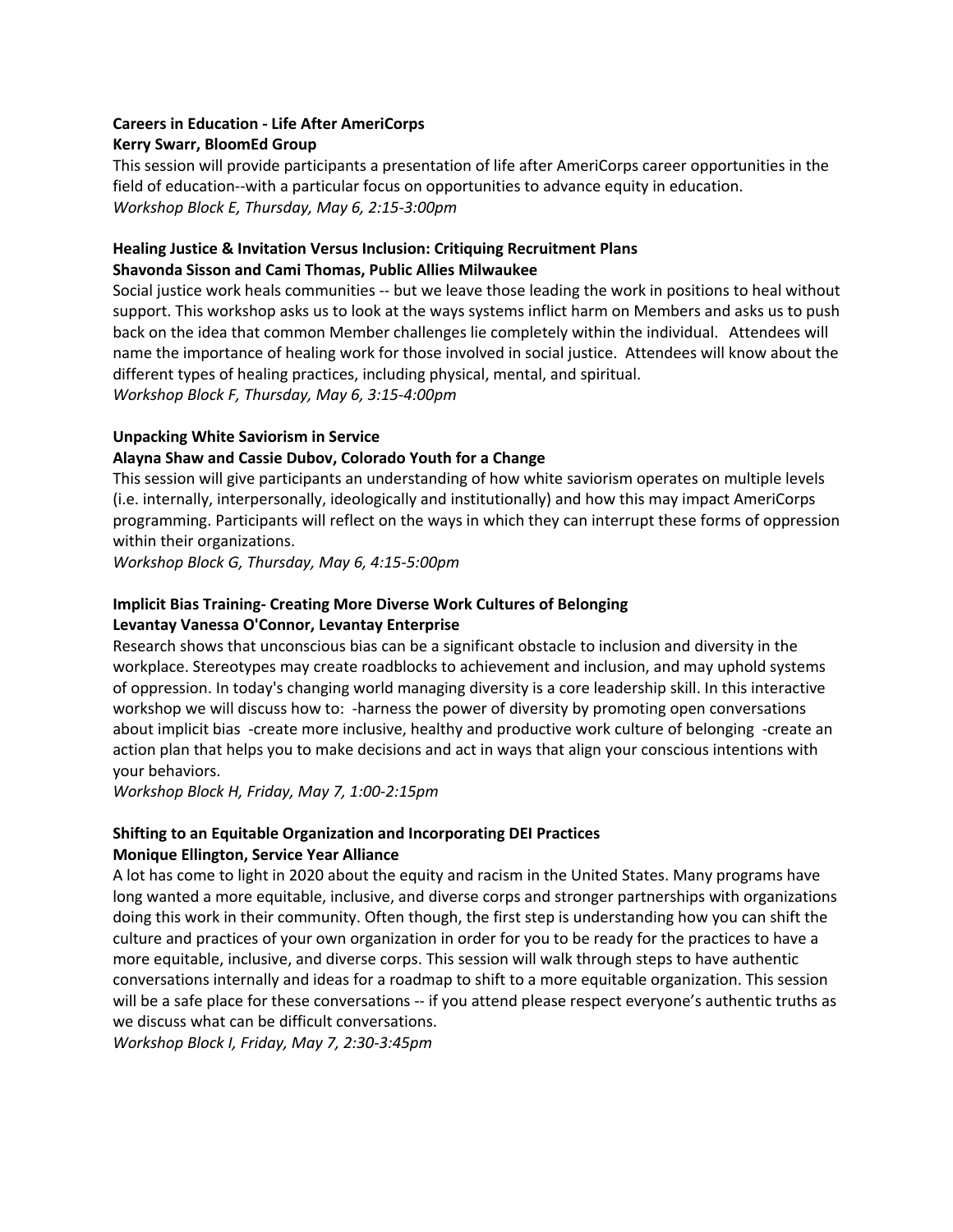## **Careers in Education - Life After AmeriCorps Kerry Swarr, BloomEd Group**

This session will provide participants a presentation of life after AmeriCorps career opportunities in the field of education--with a particular focus on opportunities to advance equity in education. *Workshop Block E, Thursday, May 6, 2:15-3:00pm*

## **Healing Justice & Invitation Versus Inclusion: Critiquing Recruitment Plans Shavonda Sisson and Cami Thomas, Public Allies Milwaukee**

Social justice work heals communities -- but we leave those leading the work in positions to heal without support. This workshop asks us to look at the ways systems inflict harm on Members and asks us to push back on the idea that common Member challenges lie completely within the individual. Attendees will name the importance of healing work for those involved in social justice. Attendees will know about the different types of healing practices, including physical, mental, and spiritual. *Workshop Block F, Thursday, May 6, 3:15-4:00pm*

## **Unpacking White Saviorism in Service**

## **Alayna Shaw and Cassie Dubov, Colorado Youth for a Change**

This session will give participants an understanding of how white saviorism operates on multiple levels (i.e. internally, interpersonally, ideologically and institutionally) and how this may impact AmeriCorps programming. Participants will reflect on the ways in which they can interrupt these forms of oppression within their organizations.

*Workshop Block G, Thursday, May 6, 4:15-5:00pm*

## **Implicit Bias Training- Creating More Diverse Work Cultures of Belonging Levantay Vanessa O'Connor, Levantay Enterprise**

Research shows that unconscious bias can be a significant obstacle to inclusion and diversity in the workplace. Stereotypes may create roadblocks to achievement and inclusion, and may uphold systems of oppression. In today's changing world managing diversity is a core leadership skill. In this interactive workshop we will discuss how to: -harness the power of diversity by promoting open conversations about implicit bias -create more inclusive, healthy and productive work culture of belonging -create an action plan that helps you to make decisions and act in ways that align your conscious intentions with your behaviors.

*Workshop Block H, Friday, May 7, 1:00-2:15pm*

## **Shifting to an Equitable Organization and Incorporating DEI Practices Monique Ellington, Service Year Alliance**

A lot has come to light in 2020 about the equity and racism in the United States. Many programs have long wanted a more equitable, inclusive, and diverse corps and stronger partnerships with organizations doing this work in their community. Often though, the first step is understanding how you can shift the culture and practices of your own organization in order for you to be ready for the practices to have a more equitable, inclusive, and diverse corps. This session will walk through steps to have authentic conversations internally and ideas for a roadmap to shift to a more equitable organization. This session will be a safe place for these conversations -- if you attend please respect everyone's authentic truths as we discuss what can be difficult conversations.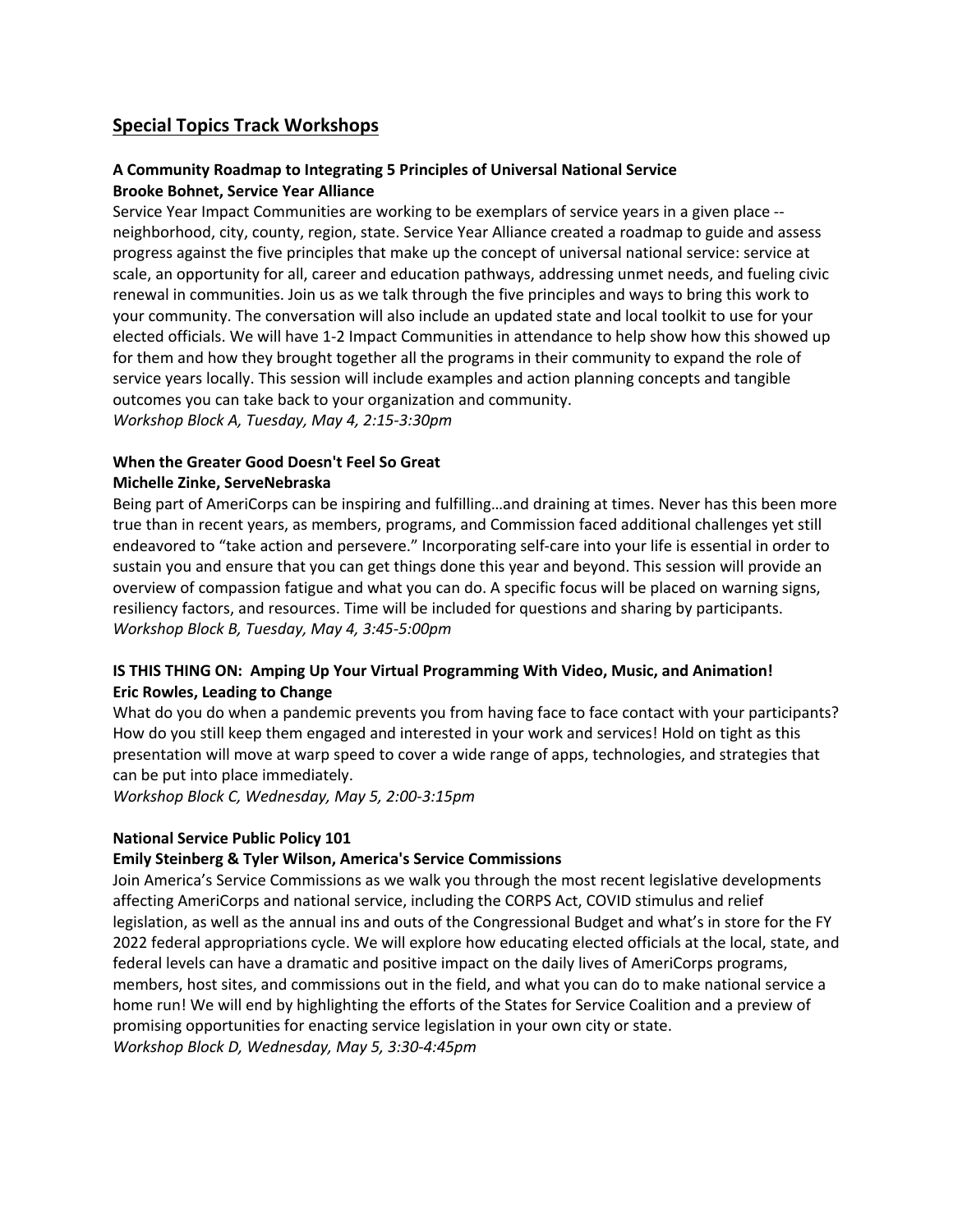## **Special Topics Track Workshops**

## **A Community Roadmap to Integrating 5 Principles of Universal National Service Brooke Bohnet, Service Year Alliance**

Service Year Impact Communities are working to be exemplars of service years in a given place - neighborhood, city, county, region, state. Service Year Alliance created a roadmap to guide and assess progress against the five principles that make up the concept of universal national service: service at scale, an opportunity for all, career and education pathways, addressing unmet needs, and fueling civic renewal in communities. Join us as we talk through the five principles and ways to bring this work to your community. The conversation will also include an updated state and local toolkit to use for your elected officials. We will have 1-2 Impact Communities in attendance to help show how this showed up for them and how they brought together all the programs in their community to expand the role of service years locally. This session will include examples and action planning concepts and tangible outcomes you can take back to your organization and community. *Workshop Block A, Tuesday, May 4, 2:15-3:30pm*

## **When the Greater Good Doesn't Feel So Great Michelle Zinke, ServeNebraska**

Being part of AmeriCorps can be inspiring and fulfilling…and draining at times. Never has this been more true than in recent years, as members, programs, and Commission faced additional challenges yet still endeavored to "take action and persevere." Incorporating self-care into your life is essential in order to sustain you and ensure that you can get things done this year and beyond. This session will provide an overview of compassion fatigue and what you can do. A specific focus will be placed on warning signs, resiliency factors, and resources. Time will be included for questions and sharing by participants. *Workshop Block B, Tuesday, May 4, 3:45-5:00pm*

## **IS THIS THING ON: Amping Up Your Virtual Programming With Video, Music, and Animation! Eric Rowles, Leading to Change**

What do you do when a pandemic prevents you from having face to face contact with your participants? How do you still keep them engaged and interested in your work and services! Hold on tight as this presentation will move at warp speed to cover a wide range of apps, technologies, and strategies that can be put into place immediately.

*Workshop Block C, Wednesday, May 5, 2:00-3:15pm*

## **National Service Public Policy 101**

## **Emily Steinberg & Tyler Wilson, America's Service Commissions**

Join America's Service Commissions as we walk you through the most recent legislative developments affecting AmeriCorps and national service, including the CORPS Act, COVID stimulus and relief legislation, as well as the annual ins and outs of the Congressional Budget and what's in store for the FY 2022 federal appropriations cycle. We will explore how educating elected officials at the local, state, and federal levels can have a dramatic and positive impact on the daily lives of AmeriCorps programs, members, host sites, and commissions out in the field, and what you can do to make national service a home run! We will end by highlighting the efforts of the States for Service Coalition and a preview of promising opportunities for enacting service legislation in your own city or state. *Workshop Block D, Wednesday, May 5, 3:30-4:45pm*